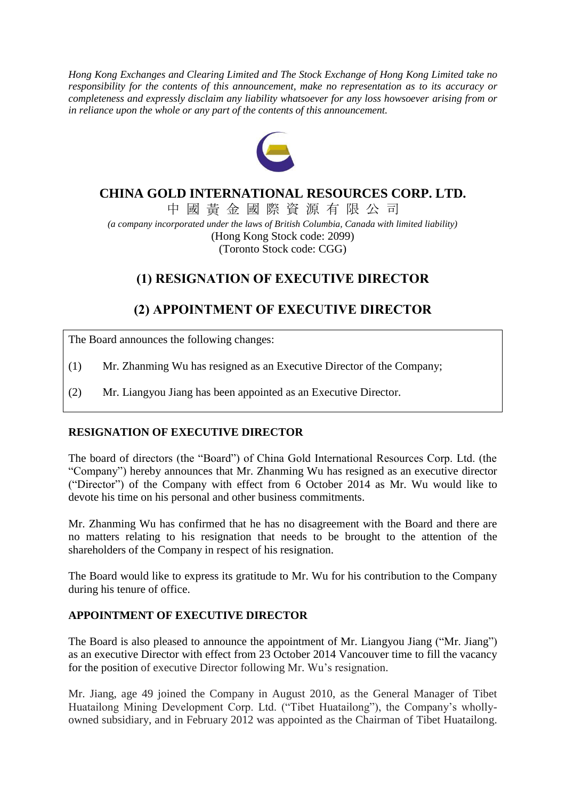*Hong Kong Exchanges and Clearing Limited and The Stock Exchange of Hong Kong Limited take no responsibility for the contents of this announcement, make no representation as to its accuracy or completeness and expressly disclaim any liability whatsoever for any loss howsoever arising from or in reliance upon the whole or any part of the contents of this announcement.*



### **CHINA GOLD INTERNATIONAL RESOURCES CORP. LTD.**

中 國 黃 金 國 際 資 源 有 限 公 司 *(a company incorporated under the laws of British Columbia, Canada with limited liability)* (Hong Kong Stock code: 2099) (Toronto Stock code: CGG)

## **(1) RESIGNATION OF EXECUTIVE DIRECTOR**

# **(2) APPOINTMENT OF EXECUTIVE DIRECTOR**

The Board announces the following changes:

- (1) Mr. Zhanming Wu has resigned as an Executive Director of the Company;
- (2) Mr. Liangyou Jiang has been appointed as an Executive Director.

### **RESIGNATION OF EXECUTIVE DIRECTOR**

The board of directors (the "Board") of China Gold International Resources Corp. Ltd. (the "Company") hereby announces that Mr. Zhanming Wu has resigned as an executive director ("Director") of the Company with effect from 6 October 2014 as Mr. Wu would like to devote his time on his personal and other business commitments.

Mr. Zhanming Wu has confirmed that he has no disagreement with the Board and there are no matters relating to his resignation that needs to be brought to the attention of the shareholders of the Company in respect of his resignation.

The Board would like to express its gratitude to Mr. Wu for his contribution to the Company during his tenure of office.

### **APPOINTMENT OF EXECUTIVE DIRECTOR**

The Board is also pleased to announce the appointment of Mr. Liangyou Jiang ("Mr. Jiang") as an executive Director with effect from 23 October 2014 Vancouver time to fill the vacancy for the position of executive Director following Mr. Wu's resignation.

Mr. Jiang, age 49 joined the Company in August 2010, as the General Manager of Tibet Huatailong Mining Development Corp. Ltd. ("Tibet Huatailong"), the Company's whollyowned subsidiary, and in February 2012 was appointed as the Chairman of Tibet Huatailong.